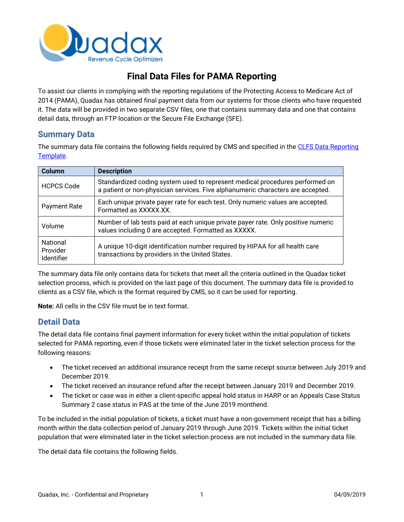

# **Final Data Files for PAMA Reporting**

To assist our clients in complying with the reporting regulations of the Protecting Access to Medicare Act of 2014 (PAMA), Quadax has obtained final payment data from our systems for those clients who have requested it. The data will be provided in two separate CSV files, one that contains summary data and one that contains detail data, through an FTP location or the Secure File Exchange (SFE).

#### **Summary Data**

The summary data file contains the following fields required by CMS and specified in the CLFS Data Reporting [Template.](https://www.cms.gov/Medicare/Medicare-Fee-for-Service-Payment/ClinicalLabFeeSched/Downloads/CLFS-Data-Collection-Form.zip)

| <b>Column</b>                                    | <b>Description</b>                                                                                                                                              |
|--------------------------------------------------|-----------------------------------------------------------------------------------------------------------------------------------------------------------------|
| <b>HCPCS Code</b>                                | Standardized coding system used to represent medical procedures performed on<br>a patient or non-physician services. Five alphanumeric characters are accepted. |
| <b>Payment Rate</b>                              | Each unique private payer rate for each test. Only numeric values are accepted.<br>Formatted as XXXXX.XX.                                                       |
| Volume                                           | Number of lab tests paid at each unique private payer rate. Only positive numeric<br>values including 0 are accepted. Formatted as XXXXX.                       |
| <b>National</b><br>Provider<br><b>Identifier</b> | A unique 10-digit identification number required by HIPAA for all health care<br>transactions by providers in the United States.                                |

The summary data file only contains data for tickets that meet all the criteria outlined in the Quadax ticket selection process, which is provided on the last page of this document. The summary data file is provided to clients as a CSV file, which is the format required by CMS, so it can be used for reporting.

**Note:** All cells in the CSV file must be in text format.

#### **Detail Data**

The detail data file contains final payment information for every ticket within the initial population of tickets selected for PAMA reporting, even if those tickets were eliminated later in the ticket selection process for the following reasons:

- The ticket received an additional insurance receipt from the same receipt source between July 2019 and December 2019.
- The ticket received an insurance refund after the receipt between January 2019 and December 2019.
- The ticket or case was in either a client-specific appeal hold status in HARP or an Appeals Case Status Summary 2 case status in PAS at the time of the June 2019 monthend.

To be included in the initial population of tickets, a ticket must have a non-government receipt that has a billing month within the data collection period of January 2019 through June 2019. Tickets within the initial ticket population that were eliminated later in the ticket selection process are not included in the summary data file.

The detail data file contains the following fields.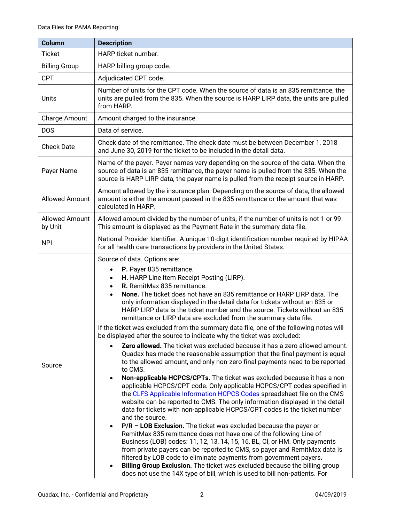| <b>Column</b>                    | <b>Description</b>                                                                                                                                                                                                                                                                                                                                                                                                                                                                                                                                                                                                                                                                                                                                                                                                                                                                                                                                                                                                                                                                                                                                                                                                                                                                                                                                                                                                                                                                                                                                                                                                                                                                                                                                                                                                                                                                                                   |
|----------------------------------|----------------------------------------------------------------------------------------------------------------------------------------------------------------------------------------------------------------------------------------------------------------------------------------------------------------------------------------------------------------------------------------------------------------------------------------------------------------------------------------------------------------------------------------------------------------------------------------------------------------------------------------------------------------------------------------------------------------------------------------------------------------------------------------------------------------------------------------------------------------------------------------------------------------------------------------------------------------------------------------------------------------------------------------------------------------------------------------------------------------------------------------------------------------------------------------------------------------------------------------------------------------------------------------------------------------------------------------------------------------------------------------------------------------------------------------------------------------------------------------------------------------------------------------------------------------------------------------------------------------------------------------------------------------------------------------------------------------------------------------------------------------------------------------------------------------------------------------------------------------------------------------------------------------------|
| <b>Ticket</b>                    | HARP ticket number.                                                                                                                                                                                                                                                                                                                                                                                                                                                                                                                                                                                                                                                                                                                                                                                                                                                                                                                                                                                                                                                                                                                                                                                                                                                                                                                                                                                                                                                                                                                                                                                                                                                                                                                                                                                                                                                                                                  |
| <b>Billing Group</b>             | HARP billing group code.                                                                                                                                                                                                                                                                                                                                                                                                                                                                                                                                                                                                                                                                                                                                                                                                                                                                                                                                                                                                                                                                                                                                                                                                                                                                                                                                                                                                                                                                                                                                                                                                                                                                                                                                                                                                                                                                                             |
| <b>CPT</b>                       | Adjudicated CPT code.                                                                                                                                                                                                                                                                                                                                                                                                                                                                                                                                                                                                                                                                                                                                                                                                                                                                                                                                                                                                                                                                                                                                                                                                                                                                                                                                                                                                                                                                                                                                                                                                                                                                                                                                                                                                                                                                                                |
| Units                            | Number of units for the CPT code. When the source of data is an 835 remittance, the<br>units are pulled from the 835. When the source is HARP LIRP data, the units are pulled<br>from HARP.                                                                                                                                                                                                                                                                                                                                                                                                                                                                                                                                                                                                                                                                                                                                                                                                                                                                                                                                                                                                                                                                                                                                                                                                                                                                                                                                                                                                                                                                                                                                                                                                                                                                                                                          |
| Charge Amount                    | Amount charged to the insurance.                                                                                                                                                                                                                                                                                                                                                                                                                                                                                                                                                                                                                                                                                                                                                                                                                                                                                                                                                                                                                                                                                                                                                                                                                                                                                                                                                                                                                                                                                                                                                                                                                                                                                                                                                                                                                                                                                     |
| <b>DOS</b>                       | Data of service.                                                                                                                                                                                                                                                                                                                                                                                                                                                                                                                                                                                                                                                                                                                                                                                                                                                                                                                                                                                                                                                                                                                                                                                                                                                                                                                                                                                                                                                                                                                                                                                                                                                                                                                                                                                                                                                                                                     |
| <b>Check Date</b>                | Check date of the remittance. The check date must be between December 1, 2018<br>and June 30, 2019 for the ticket to be included in the detail data.                                                                                                                                                                                                                                                                                                                                                                                                                                                                                                                                                                                                                                                                                                                                                                                                                                                                                                                                                                                                                                                                                                                                                                                                                                                                                                                                                                                                                                                                                                                                                                                                                                                                                                                                                                 |
| Payer Name                       | Name of the payer. Payer names vary depending on the source of the data. When the<br>source of data is an 835 remittance, the payer name is pulled from the 835. When the<br>source is HARP LIRP data, the payer name is pulled from the receipt source in HARP.                                                                                                                                                                                                                                                                                                                                                                                                                                                                                                                                                                                                                                                                                                                                                                                                                                                                                                                                                                                                                                                                                                                                                                                                                                                                                                                                                                                                                                                                                                                                                                                                                                                     |
| <b>Allowed Amount</b>            | Amount allowed by the insurance plan. Depending on the source of data, the allowed<br>amount is either the amount passed in the 835 remittance or the amount that was<br>calculated in HARP.                                                                                                                                                                                                                                                                                                                                                                                                                                                                                                                                                                                                                                                                                                                                                                                                                                                                                                                                                                                                                                                                                                                                                                                                                                                                                                                                                                                                                                                                                                                                                                                                                                                                                                                         |
| <b>Allowed Amount</b><br>by Unit | Allowed amount divided by the number of units, if the number of units is not 1 or 99.<br>This amount is displayed as the Payment Rate in the summary data file.                                                                                                                                                                                                                                                                                                                                                                                                                                                                                                                                                                                                                                                                                                                                                                                                                                                                                                                                                                                                                                                                                                                                                                                                                                                                                                                                                                                                                                                                                                                                                                                                                                                                                                                                                      |
| <b>NPI</b>                       | National Provider Identifier. A unique 10-digit identification number required by HIPAA<br>for all health care transactions by providers in the United States.                                                                                                                                                                                                                                                                                                                                                                                                                                                                                                                                                                                                                                                                                                                                                                                                                                                                                                                                                                                                                                                                                                                                                                                                                                                                                                                                                                                                                                                                                                                                                                                                                                                                                                                                                       |
| Source                           | Source of data. Options are:<br>P. Payer 835 remittance.<br>$\bullet$<br>H. HARP Line Item Receipt Posting (LIRP).<br>$\bullet$<br>R. RemitMax 835 remittance.<br>$\bullet$<br>None. The ticket does not have an 835 remittance or HARP LIRP data. The<br>only information displayed in the detail data for tickets without an 835 or<br>HARP LIRP data is the ticket number and the source. Tickets without an 835<br>remittance or LIRP data are excluded from the summary data file.<br>If the ticket was excluded from the summary data file, one of the following notes will<br>be displayed after the source to indicate why the ticket was excluded:<br>Zero allowed. The ticket was excluded because it has a zero allowed amount.<br>Quadax has made the reasonable assumption that the final payment is equal<br>to the allowed amount, and only non-zero final payments need to be reported<br>to CMS.<br>Non-applicable HCPCS/CPTs. The ticket was excluded because it has a non-<br>$\bullet$<br>applicable HCPCS/CPT code. Only applicable HCPCS/CPT codes specified in<br>the CLFS Applicable Information HCPCS Codes spreadsheet file on the CMS<br>website can be reported to CMS. The only information displayed in the detail<br>data for tickets with non-applicable HCPCS/CPT codes is the ticket number<br>and the source.<br>$P/R$ – LOB Exclusion. The ticket was excluded because the payer or<br>$\bullet$<br>RemitMax 835 remittance does not have one of the following Line of<br>Business (LOB) codes: 11, 12, 13, 14, 15, 16, BL, CI, or HM. Only payments<br>from private payers can be reported to CMS, so payer and RemitMax data is<br>filtered by LOB code to eliminate payments from government payers.<br>Billing Group Exclusion. The ticket was excluded because the billing group<br>$\bullet$<br>does not use the 14X type of bill, which is used to bill non-patients. For |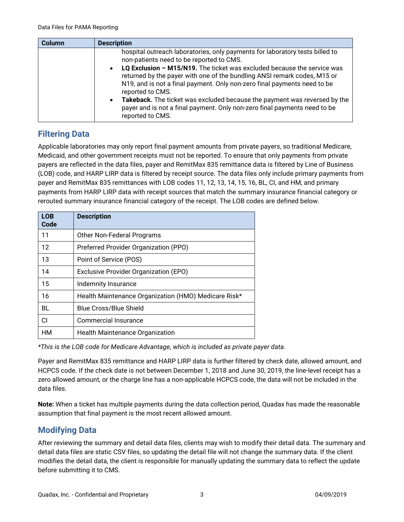| <b>Column</b> | <b>Description</b>                                                                                                                                                                                                                                                                                                                                                                                                                                          |
|---------------|-------------------------------------------------------------------------------------------------------------------------------------------------------------------------------------------------------------------------------------------------------------------------------------------------------------------------------------------------------------------------------------------------------------------------------------------------------------|
|               | hospital outreach laboratories, only payments for laboratory tests billed to<br>non-patients need to be reported to CMS.                                                                                                                                                                                                                                                                                                                                    |
|               | LQ Exclusion - M15/N19. The ticket was excluded because the service was<br>$\bullet$<br>returned by the payer with one of the bundling ANSI remark codes, M15 or<br>N19, and is not a final payment. Only non-zero final payments need to be<br>reported to CMS.<br>Takeback. The ticket was excluded because the payment was reversed by the<br>$\bullet$<br>payer and is not a final payment. Only non-zero final payments need to be<br>reported to CMS. |

### **Filtering Data**

Applicable laboratories may only report final payment amounts from private payers, so traditional Medicare, Medicaid, and other government receipts must not be reported. To ensure that only payments from private payers are reflected in the data files, payer and RemitMax 835 remittance data is filtered by Line of Business (LOB) code, and HARP LIRP data is filtered by receipt source. The data files only include primary payments from payer and RemitMax 835 remittances with LOB codes 11, 12, 13, 14, 15, 16, BL, CI, and HM, and primary payments from HARP LIRP data with receipt sources that match the summary insurance financial category or rerouted summary insurance financial category of the receipt. The LOB codes are defined below.

| <b>LOB</b><br>Code | <b>Description</b>                                   |
|--------------------|------------------------------------------------------|
| 11                 | Other Non-Federal Programs                           |
| $12 \,$            | Preferred Provider Organization (PPO)                |
| 13                 | Point of Service (POS)                               |
| 14                 | <b>Exclusive Provider Organization (EPO)</b>         |
| 15                 | Indemnity Insurance                                  |
| 16                 | Health Maintenance Organization (HMO) Medicare Risk* |
| BL                 | <b>Blue Cross/Blue Shield</b>                        |
| СI                 | Commercial Insurance                                 |
| HM                 | Health Maintenance Organization                      |

*\*This is the LOB code for Medicare Advantage, which is included as private payer data.*

Payer and RemitMax 835 remittance and HARP LIRP data is further filtered by check date, allowed amount, and HCPCS code. If the check date is not between December 1, 2018 and June 30, 2019, the line-level receipt has a zero allowed amount, or the charge line has a non-applicable HCPCS code, the data will not be included in the data files.

**Note:** When a ticket has multiple payments during the data collection period, Quadax has made the reasonable assumption that final payment is the most recent allowed amount.

## **Modifying Data**

After reviewing the summary and detail data files, clients may wish to modify their detail data. The summary and detail data files are static CSV files, so updating the detail file will not change the summary data. If the client modifies the detail data, the client is responsible for manually updating the summary data to reflect the update before submitting it to CMS.